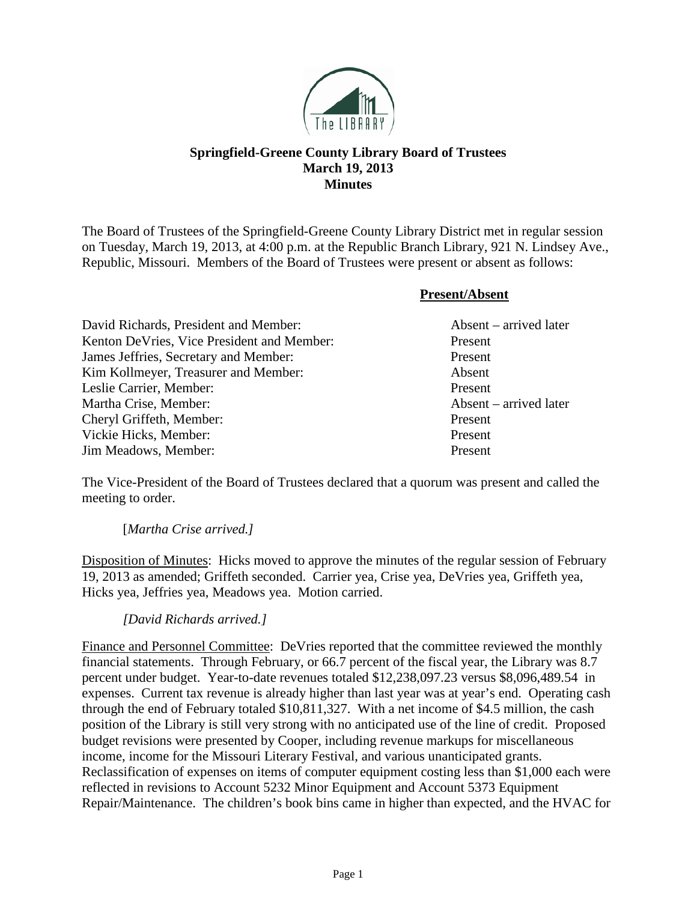

# **Springfield-Greene County Library Board of Trustees March 19, 2013 Minutes**

The Board of Trustees of the Springfield-Greene County Library District met in regular session on Tuesday, March 19, 2013, at 4:00 p.m. at the Republic Branch Library, 921 N. Lindsey Ave., Republic, Missouri. Members of the Board of Trustees were present or absent as follows:

**Present/Absent**

| David Richards, President and Member:      | $\Lambda$ bsent – arrived later |
|--------------------------------------------|---------------------------------|
| Kenton DeVries, Vice President and Member: | Present                         |
| James Jeffries, Secretary and Member:      | Present                         |
| Kim Kollmeyer, Treasurer and Member:       | Absent                          |
| Leslie Carrier, Member:                    | Present                         |
| Martha Crise, Member:                      | Absent – arrived later          |
| Cheryl Griffeth, Member:                   | Present                         |
| Vickie Hicks, Member:                      | Present                         |
| Jim Meadows, Member:                       | Present                         |

The Vice-President of the Board of Trustees declared that a quorum was present and called the meeting to order.

## [*Martha Crise arrived.]*

Disposition of Minutes: Hicks moved to approve the minutes of the regular session of February 19, 2013 as amended; Griffeth seconded. Carrier yea, Crise yea, DeVries yea, Griffeth yea, Hicks yea, Jeffries yea, Meadows yea. Motion carried.

## *[David Richards arrived.]*

Finance and Personnel Committee: DeVries reported that the committee reviewed the monthly financial statements. Through February, or 66.7 percent of the fiscal year, the Library was 8.7 percent under budget. Year-to-date revenues totaled \$12,238,097.23 versus \$8,096,489.54 in expenses. Current tax revenue is already higher than last year was at year's end. Operating cash through the end of February totaled \$10,811,327. With a net income of \$4.5 million, the cash position of the Library is still very strong with no anticipated use of the line of credit. Proposed budget revisions were presented by Cooper, including revenue markups for miscellaneous income, income for the Missouri Literary Festival, and various unanticipated grants. Reclassification of expenses on items of computer equipment costing less than \$1,000 each were reflected in revisions to Account 5232 Minor Equipment and Account 5373 Equipment Repair/Maintenance. The children's book bins came in higher than expected, and the HVAC for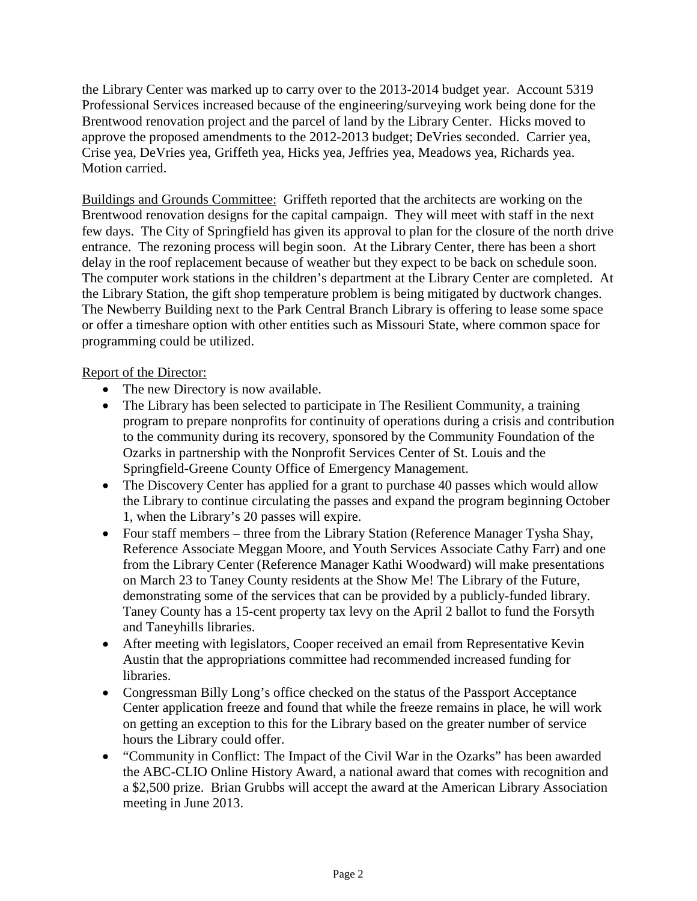the Library Center was marked up to carry over to the 2013-2014 budget year. Account 5319 Professional Services increased because of the engineering/surveying work being done for the Brentwood renovation project and the parcel of land by the Library Center. Hicks moved to approve the proposed amendments to the 2012-2013 budget; DeVries seconded. Carrier yea, Crise yea, DeVries yea, Griffeth yea, Hicks yea, Jeffries yea, Meadows yea, Richards yea. Motion carried.

Buildings and Grounds Committee: Griffeth reported that the architects are working on the Brentwood renovation designs for the capital campaign. They will meet with staff in the next few days. The City of Springfield has given its approval to plan for the closure of the north drive entrance. The rezoning process will begin soon. At the Library Center, there has been a short delay in the roof replacement because of weather but they expect to be back on schedule soon. The computer work stations in the children's department at the Library Center are completed. At the Library Station, the gift shop temperature problem is being mitigated by ductwork changes. The Newberry Building next to the Park Central Branch Library is offering to lease some space or offer a timeshare option with other entities such as Missouri State, where common space for programming could be utilized.

# Report of the Director:

- The new Directory is now available.
- The Library has been selected to participate in The Resilient Community, a training program to prepare nonprofits for continuity of operations during a crisis and contribution to the community during its recovery, sponsored by the Community Foundation of the Ozarks in partnership with the Nonprofit Services Center of St. Louis and the Springfield-Greene County Office of Emergency Management.
- The Discovery Center has applied for a grant to purchase 40 passes which would allow the Library to continue circulating the passes and expand the program beginning October 1, when the Library's 20 passes will expire.
- Four staff members three from the Library Station (Reference Manager Tysha Shay, Reference Associate Meggan Moore, and Youth Services Associate Cathy Farr) and one from the Library Center (Reference Manager Kathi Woodward) will make presentations on March 23 to Taney County residents at the Show Me! The Library of the Future, demonstrating some of the services that can be provided by a publicly-funded library. Taney County has a 15-cent property tax levy on the April 2 ballot to fund the Forsyth and Taneyhills libraries.
- After meeting with legislators, Cooper received an email from Representative Kevin Austin that the appropriations committee had recommended increased funding for libraries.
- Congressman Billy Long's office checked on the status of the Passport Acceptance Center application freeze and found that while the freeze remains in place, he will work on getting an exception to this for the Library based on the greater number of service hours the Library could offer.
- "Community in Conflict: The Impact of the Civil War in the Ozarks" has been awarded the ABC-CLIO Online History Award, a national award that comes with recognition and a \$2,500 prize. Brian Grubbs will accept the award at the American Library Association meeting in June 2013.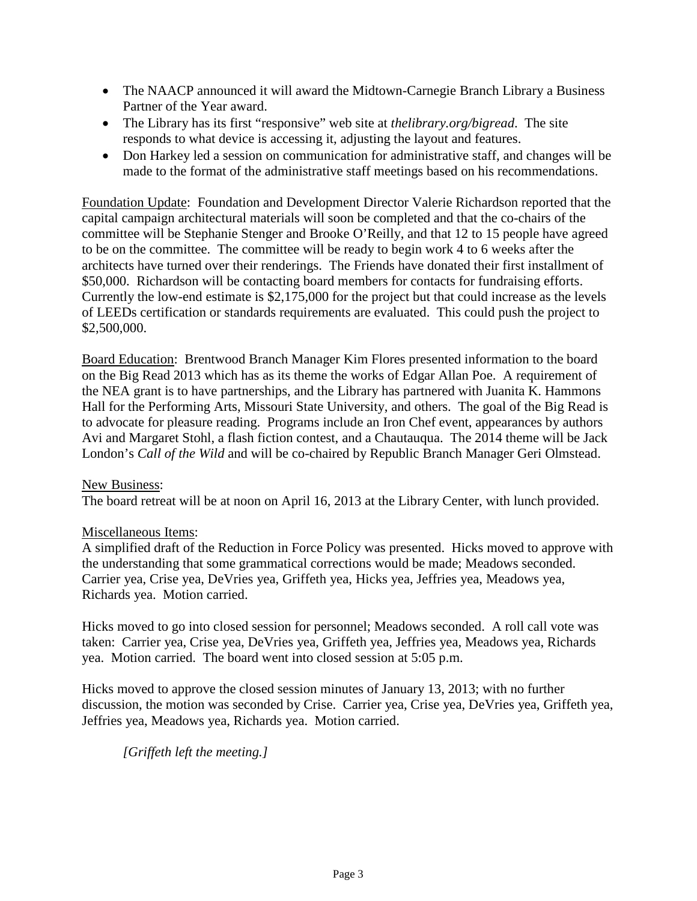- The NAACP announced it will award the Midtown-Carnegie Branch Library a Business Partner of the Year award.
- The Library has its first "responsive" web site at *thelibrary.org/bigread*. The site responds to what device is accessing it, adjusting the layout and features.
- Don Harkey led a session on communication for administrative staff, and changes will be made to the format of the administrative staff meetings based on his recommendations.

Foundation Update: Foundation and Development Director Valerie Richardson reported that the capital campaign architectural materials will soon be completed and that the co-chairs of the committee will be Stephanie Stenger and Brooke O'Reilly, and that 12 to 15 people have agreed to be on the committee. The committee will be ready to begin work 4 to 6 weeks after the architects have turned over their renderings. The Friends have donated their first installment of \$50,000. Richardson will be contacting board members for contacts for fundraising efforts. Currently the low-end estimate is \$2,175,000 for the project but that could increase as the levels of LEEDs certification or standards requirements are evaluated. This could push the project to \$2,500,000.

Board Education: Brentwood Branch Manager Kim Flores presented information to the board on the Big Read 2013 which has as its theme the works of Edgar Allan Poe. A requirement of the NEA grant is to have partnerships, and the Library has partnered with Juanita K. Hammons Hall for the Performing Arts, Missouri State University, and others. The goal of the Big Read is to advocate for pleasure reading. Programs include an Iron Chef event, appearances by authors Avi and Margaret Stohl, a flash fiction contest, and a Chautauqua. The 2014 theme will be Jack London's *Call of the Wild* and will be co-chaired by Republic Branch Manager Geri Olmstead.

### New Business:

The board retreat will be at noon on April 16, 2013 at the Library Center, with lunch provided.

### Miscellaneous Items:

A simplified draft of the Reduction in Force Policy was presented. Hicks moved to approve with the understanding that some grammatical corrections would be made; Meadows seconded. Carrier yea, Crise yea, DeVries yea, Griffeth yea, Hicks yea, Jeffries yea, Meadows yea, Richards yea. Motion carried.

Hicks moved to go into closed session for personnel; Meadows seconded. A roll call vote was taken: Carrier yea, Crise yea, DeVries yea, Griffeth yea, Jeffries yea, Meadows yea, Richards yea. Motion carried. The board went into closed session at 5:05 p.m.

Hicks moved to approve the closed session minutes of January 13, 2013; with no further discussion, the motion was seconded by Crise. Carrier yea, Crise yea, DeVries yea, Griffeth yea, Jeffries yea, Meadows yea, Richards yea. Motion carried.

*[Griffeth left the meeting.]*